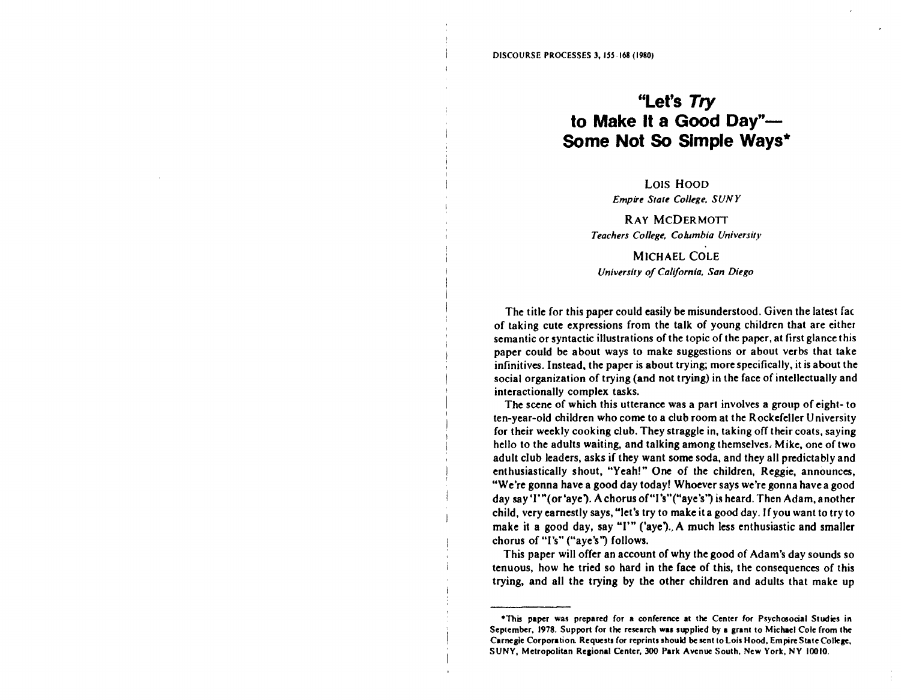# **"Let's Try to Make It a Good Day"- Some Not So Simple Ways\***

LOIS HOOD *Empire State College, SUNY* 

RAY MCDERMOTT *Teachers College, Columbia University* 

MICHAEL COLE *University of California, San Diego* 

The title for this paper could easily be misunderstood. Given the latest fac of taking cute expressions from the talk of young children that are either semantic or syntactic illustrations of the topic of the paper, at first glance this paper could be about ways to make suggestions or about verbs that take infinitives. Instead, the paper is about trying; more specifically, it is about the social organization of trying (and not trying) in the face of intellectually and interactionally complex tasks.

The scene of which this utterance was a part involves a group of eight- to ten-year-old children who come to a club room at the Rockefeller University for their weekly cooking club. They straggle in, taking off their coats, saying hello to the adults waiting, and talking among themselves, **Mike,** one of two adult club leaders, asks if they want some soda, and they all predictably and enthusiastically shout, "Yeah!" One of the children, Reggie, announces, "We're gonna have a good day today! Whoever says we're gonna have a good day say'I'"(or'aye). A chorus of"l's"("aye's') is heard. Then Adam, another child, very earnestly says, "let's try to make it a good day. If you want to try to make it a good day, say "I'" ('aye)., A much less enthusiastic and smaller chorus of "I's" ("aye's") follows.

This paper will offer an account of why the good of Adam's day sounds so tenuous, how he tried so hard in the face of this, the consequences of this trying, and all the trying by the other children and adults that make up

<sup>•</sup>This **paper was** prepared for **a** conference at the Center for Psychmocial Studies in September, 1978. Support for the research was supplied by a grant to Michael Cole from the Carnegie Corporation. Requests for reprints should be sent to Lois Hood, Empire State College, SUNY, Metropolitan Regional Center, 300 Park Avenue South, New York, NY 10010.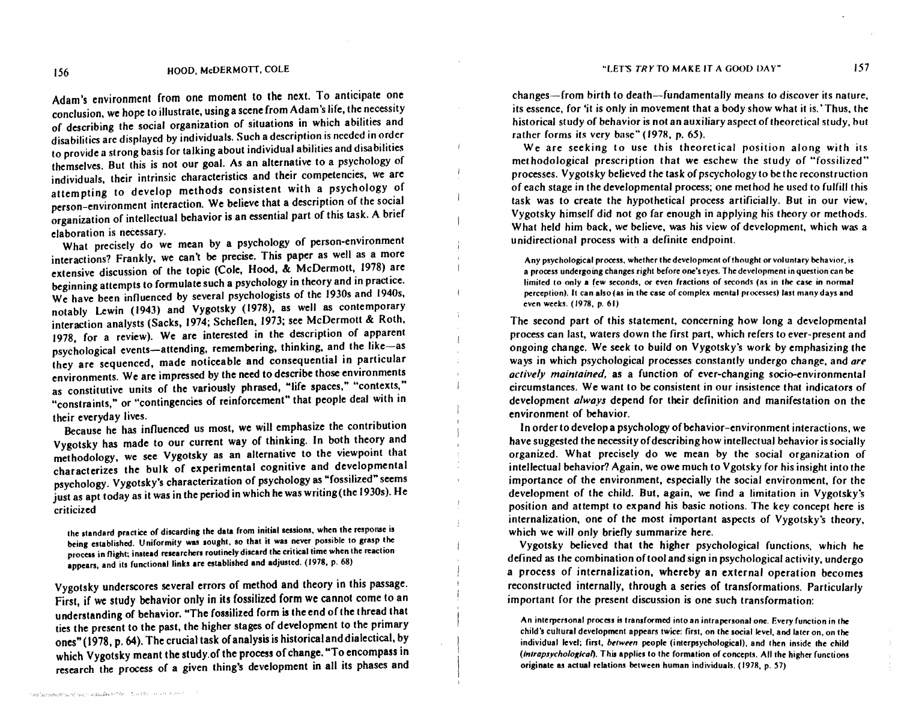Adam's environment from one moment to the next. To anticipate one conclusion, we hope to illustrate, using a scene from Adam's life, the necessity of describing the social organization of situations in which abilities and disabilities arc displayed by individuals. Such a description is needed in order to provide a strong basis for talking about individual abilities and disabilities themselves. But this is not our goal. As an alternative to a psychology of individuals, their intrinsic characteristics and their competencies, we are attempting to develop methods consistent with a psychology of person-environment interaction. We believe that a description of the social organization of intellectual behavior is an essential part of this task. A brief elaboration is necessary.

What precisely do we mean by a psychology of person-environment interactions? Frankly, we can't be precise. This paper as well as a more extensive discussion of the topic (Cole, Hood, & McDermott, 1978) are beginning attempts to formulate such a psychology in theory and in practice. We have been influenced by several psychologists of the 1930s and 1940s, notably Lewin (1943) and Vygotsky (1978), as well as contemporary interaction analysts (Sacks, 1974; Scheflen, 1973; see McDermott & Roth, 1978, for a review). We are interested in the description of apparent psychological events-attending, remembering, thinking, and the like-as they are sequenced, made noticeable and consequential in particular environments. We are impressed by the need to describe those environments as constitutive units of the variously phrased, "life spaces," "contexts," "constraints," or "contingencies of reinforcement" that people deal with in their everyday lives.

Because he has influenced us most, we will emphasize the contribution Vygotsky has made to our current way of thinking. In both theory and methodology, we see Vygotsky as an alternative to the viewpoint that characterizes the bulk of experimental cognitive and developmental psychology. Vygotsky's characterization of psychology as "fossilized" seems just as apt today as it was in the period in which he was writing(the 1930s). He criticized

the standard practice of discarding the data from initial sessions, when the response is being established. Uniformity was sought, so that it was never possible to grasp the process in flight; instead researchers routinely discard the critical time when the reaction **appears,** and its functional links are established and adjusted. (1978, p. 68)

Vygotsky underscores several errors of method and theory in this passage. First, if we study behavior only in its fossilized form we cannot come to an understanding of behavior. "The fossilized form is the end of the thread that ties the present to the past, the higher stages of development to the primary ones" ( 1978, p. 64). The crucial task ofanalysis is historical and dialectical, by which Vygotsky meant the study.of the process of change. "To encompass in research the process of a given thing's development in all its phases and

contract the company of the parameters of the contract of the company of the contract of the contract of the contract of

changes-from birth to death-fundamentally means to discover its nature, its essence, for 'it is only in movement that a body show what it is.' Thus, the historical study of behavior is not an auxiliary aspect of theoretical study, bul rather forms its very base" (1978, p. 65).

We are seeking to use this theoretical position along with its methodological prescription that we eschew the study of "fossilized" processes. Vygotsky believed the task of pscychology to be the reconstruction of each stage in the developmental process; one method he used to fulfill this task was to create the hypothetical process artificially. But in our view, Vygotsky himself did not go far enough in applying his theory or methods. What held him back, we believe, was his view of development, which was a unidirectional process with a definite endpoint.

Any psychological process, whether the development of thought or voluntary behavior, is a process undergoing changes right before one's eyes. The development in question can **be**  limited to only a few seconds, or even fractions of seconds (as in the case in normal perception). It can also(as in the case of complex mental processes) last many days **and**  even weeks. ( 1978, p. 61)

The second part of this statement, concerning how long a developmental process can last, waters down the first part, which refers to ever-present and ongoing change. We seek to build on Vygotsky's work by emphasizing the ways in which psychological processes constantly undergo change, and *are actively maintained,* as a function of ever-changing socio-environmental circumstances. We want to be consistent in our insistence that indicators of development *always* depend for their definition and manifestation on the environment of behavior.

In order to develop a psychology of behavior-environment interactions, we have suggested the necessity of describing how intellectual behavior is socially organized. What precisely do we mean by the social organization of intellectual behavior? Again, we owe much to V gotsky for his insight into the importance of the environment, especially the social environment, for the development of the child. But, again, we find a limitation in Vygotsky's position and attempt to expand his basic notions. The key concept here is internalization, one of the most important aspects of Vygotsky's theory. which we will only briefly summarize here.

Vygotsky believed that the higher psychological functions, which he defined as the combination of tool and sign in psychological activity, undergo a process of internalization, whereby an external operation becomes reconstructed internally, through a series of transformations. Particularly important for the present discussion is one such transformation:

An interpersonal process is transformed into an intra personal one. Every function in the child's cultural development appears twice: first, on the social level, and later on, on the individual level; first, *between* people (interpsychological), and then inside the child  ${interծ of }$  (intrapsychological). This applies to the formation of concepts. All the higher functions originate as actual relations between human individuals. ( 1978, p. 57)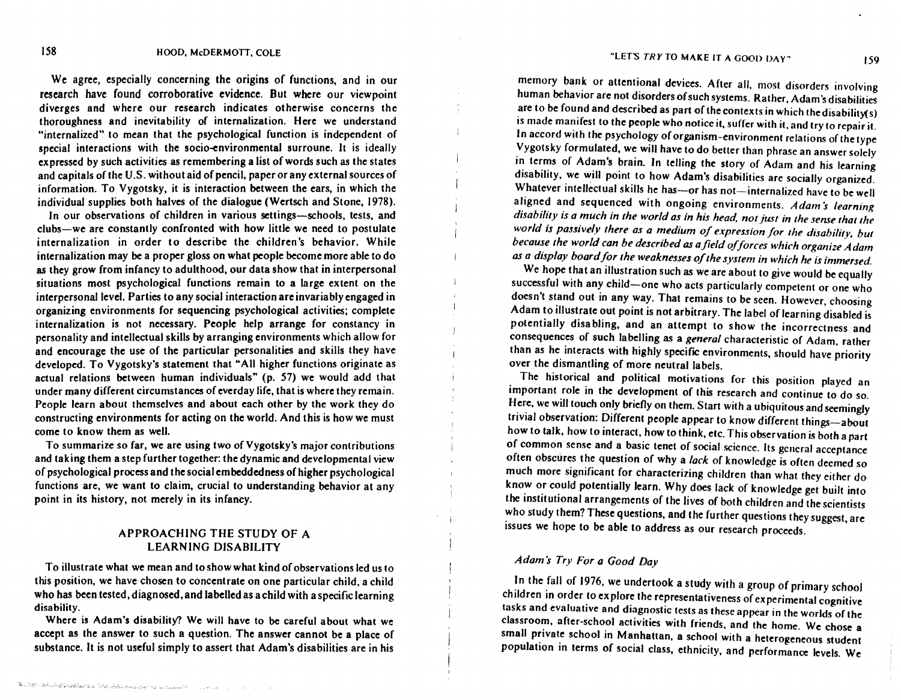We agree, especially concerning the origins of functions, and in our research have found corroborative evidence. But where our viewpoint diverges and where our research indicates otherwise concerns the thoroughness and inevitability of internalization. Here we understand "internalized" to mean that the psychological function is independent of special interactions with the socio-environmental surroune. It is ideally expressed by such activities as remembering a list of words such as the states and capitals of the U.S. without aid of pencil, paper or any external sources of information. To Vygotsky, it is interaction between the ears, in which the individual supplies both halves of the dialogue (Wertsch and Stone, 1978).

In our observations of children in various settings-schools, tests, and clubs-we are constantly confronted with how little we need to postulate internalization in order to describe the children's behavior. While internalization may be a proper gloss on what people become more able to do as they grow from infancy to adulthood, our data show that in interpersonal situations most psychological functions remain to a large extent on the interpersonal level. Parties to any social interaction are invariably engaged in organizing environments for sequencing psychological activities; complete internalization is not necessary. People help arrange for constancy in personality and intellectual skills by arranging environments which allow for and encourage the use of the particular personalities and skills they have developed. To Vygotsky's statement that "All higher functions originate as actual relations between human individuals" (p. 57) we would add that under many different circumstances of everday life, that is where they remain. People learn about themselves and about each other by the work they do constructing environments for acting on the world. And this is how we must come to know them as well.

To summarize so far, we are using two of Vygotsky's major contributions and taking them a step further together: the dynamic and developmental view of psychological process and the social embeddedness of higher psychological functions are, we want to claim, crucial to understanding behavior at any point in its history, not merely in its infancy.

## APPROACHING THE STUDY OF A LEARNING DISABILITY

To illustrate what we mean and to show what kind of observations led us to this position, we have chosen to concentrate on one particular child, a child who has been tested, diagnosed, and labelled as a child with a specific learning disability.

Where is Adam's disability? We will have to be careful about what we accept as the answer to such a question. The answer cannot be a place of substance. It is not useful simply to assert that Adam's disabilities are in his

memory bank or attentional devices. After all, most disorders involving human behavior are not disorders of such systems. Rather, Adam's disabilities are to be found and described as part of the contexts in which the disability(s) 1s made manifest to the people who notice it, suffer with *it.* and try to repair it. In accord with the psychology of organism-environment relations of the type Vygotsky formulated, we will have to do better than phrase an answer solely in terms of Adam's brain. In telling the story of Adam and his learning disability, we will point to how Adam's disabilities are socially organized. Whatever intellectual skills he has-or has not-internalized have to be well aligned and sequenced with ongoing environments. Adam's learning *disability is a much in the world as in his head. not just in the sense that the world is passivefv there as a medium of expression for the disability, but because the world can be described as afield of forces which organize Adam as a display board/or the weaknesses of the system in which he is immersed.* 

We hope that an illustration such as we are about to give would be equally successful with any child-one who acts particularly competent or one who doesn't stand out in any way. That remains to be seen. However, choosing Adam to illustrate out point is not arbitrary. The label of learning disabled is potentially disabling, and an attempt to show the incorrectness and consequences of such labelling as a *general* characteristic of Adam, rather than as he interacts with highly specific environments, should have priority over the dismantling of more neutral labels.

The historical and political motivations for this position played an important role in the development of this research and continue to do so. Here, we will touch only briefly on them. Start with a ubiquitous and seemingly trivial observation: Different people appear to know different things-about how to talk, how to interact, how to think, etc. This observation is both a part of common sense and a basic tenet of social science. Its general acceptance often obscures the question of why a *lack* of knowledge is often deemed so much more significant for characterizing children than what they either do know or could potentially learn. Why does lack of knowledge get built into the institutional arrangements of the lives of both children and the scientists who study them? These questions, and the further questions they suggest, are issues we hope to be able to address as our research proceeds.

## *Adams Try For a Good Day*

 $\mathbf{I}$ 

In the fall of 1976, we undertook a study with a group of primary school children in order to explore the representativeness of experimental cognitive tasks and evaluative and diagnostic tests as these appear in the worlds of the classroom, after-school activities with friends, and the home. We chose a small private school in Manhattan, a school with a heterogeneous student population in terms of social class, ethnicity, and performance levels. We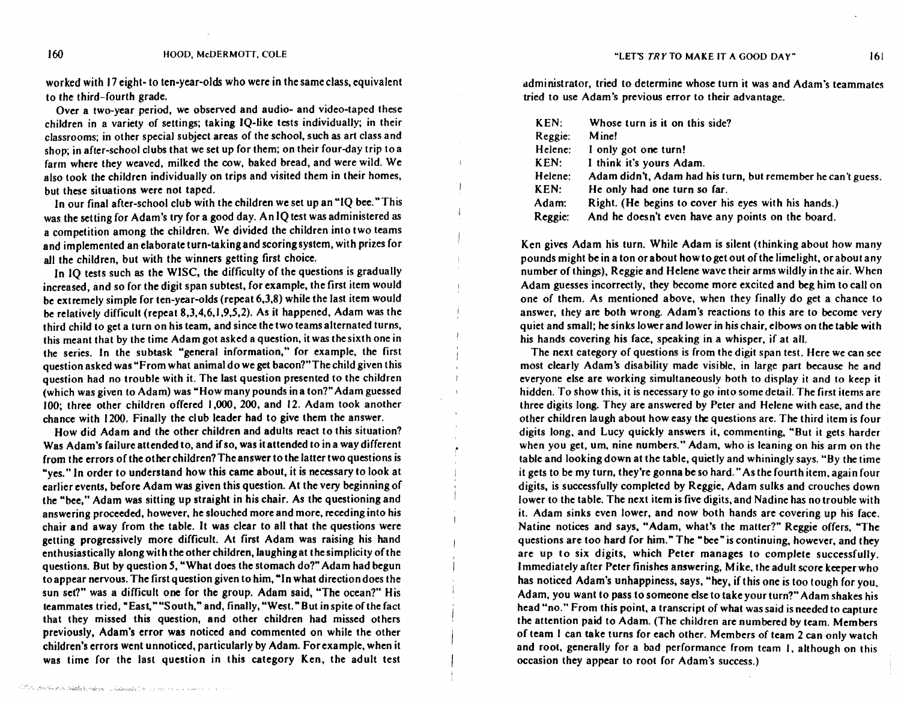worked with 17 eight- to ten-year-olds who were in the same class, equivalent to the third-fourth grade.

Over a two-year period, we observed and audio- and video-taped these children in a variety of settings; taking IQ-like tests individually; in their classrooms; in other special subject areas of the school, such as art class and shop; in after-school clubs that we set up for them; on their four-day trip to a farm where they weaved, milked the cow, baked bread, and were wild. We also took the children individually on trips and visited them in their homes, but these situations were not taped.

In our final after-school club with the children we set up an "IQ bee." This was the setting for Adam's try for a good day. An IQ test was administered as a competition among the children. We divided the children into two teams and implemented an elaborate turn-taking and scoring system, with prizes for all the children, but with the winners getting first choice.

In IQ tests such as the WISC, the difficulty of the questions is gradually increased, and so for the digit span subtest, for example, the first item would be extremely simple for ten-year-olds (repeat 6,3,8) while the last item would be relatively difficult (repeat 8,3,4,6,1,9,5,2). As it happened, Adam was the third child to get a turn on his team, and since the two teams alternated turns, this meant that by the time Adam got asked a question, it was the sixth one in the series. In the subtask "general information," for example, the first question asked was "From what animal do we get bacon?"The child given this question had no trouble with it. The last question presented to the children (which was given to Adam) was "How many pounds in a ton?" Adam guessed 100; three other children offered 1,000, 200, and 12. Adam took another chance with 1200. Finally the club leader had to give them the answer.

How did Adam and the other children and adults react to this situation? Was Adam's failure attended to, and if so, was it attended to in a way different from the errors of the other children? The answer to the latter two questions is "yes." In order to understand how this came about, it is necessary to look at earlier events, before Adam was given this question. At the very beginning of the **"bee,"** Adam was sitting up straight in his chair. As the questioning and answering proceeded, however, he slouched more and more, receding into his chair and away from the table. It was clear to all that the questions were getting progressively more difficult. At first Adam was raising his hand enthusiastically along with the other children, laughing at the simplicity of the questions. But by question 5, "What does the stomach do?" Adam had begun to appear nervous. The first question given to him, "In what direction does the sun set?" was a difficult one for the group. Adam said, "The ocean?" His teammates tried, "East, ""South," and, finally, "West." But in spite of the fact that they missed this question, and other children had missed others previously, Adam's error was noticed and commented on while the other children's errors went unnoticed, particularly by Adam. For example, when it was time for the last question in this category **Ken,** the adult test

administrator, tried to determine whose turn it was and Adam's teammates tried to use Adam's previous error to their advantage.

| KEN:    | Whose turn is it on this side?                               |
|---------|--------------------------------------------------------------|
| Reggie: | Mine!                                                        |
| Helene: | I only got one turn!                                         |
| KEN:    | I think it's yours Adam.                                     |
| Helene: | Adam didn't, Adam had his turn, but remember he can't guess. |
| KEN:    | He only had one turn so far.                                 |
| Adam:   | Right. (He begins to cover his eyes with his hands.)         |
| Reggie: | And he doesn't even have any points on the board.            |

Ken gives Adam his turn. While Adam is silent (thinking about how many pounds might be in a ton or about how to get out of the limelight, or about any number of things), Reggie and Helene wave their arms wildly in the air. When Adam guesses incorrectly, they become more excited and beg him to call on one of them. As mentioned above, when they finally do get a chance to answer, they are both wrong. Adam's reactions to this are to become very quiet and small; he sinks lower and lower in his chair, elbows on the table with his hands covering his face, speaking in a whisper, if at all.

The next category of questions is from the digit span test. Here we can see most clearly Adam's disability made visible, in large part because he and everyone else are working simultaneously both to display it and to keep it hidden. To show this, it is necessary to go into some detail. The first items are three digits long. They are answered by Peter and Helene with ease, and the other children laugh about how easy the questions are. The third item is four digits long, and Lucy quickly answers it, commenting, "But it gets harder when you get, um, nine numbers." Adam, who is leaning on his arm on the table and looking down at the table, quietly and whiningly says. "By the time it gets to be my turn, they're gonna be so hard." As the fourth item, again four digits, is successfully completed by Reggie, Adam sulks and crouches down lower to the table. The next item is five digits, and Nadine has no trouble with it. Adam sinks even lower, and now both hands are covering up his face. Natine notices and says, "Adam, what's the matter?" Reggie offers, "The questions are too hard for him." The "bee" is continuing, however, and they are up to six digits, which Peter manages to complete successfully. Immediately after Peter finishes answering, Mike, the adult score keeper who has noticed Adam's unhappiness, says, "hey, if this one is too tough for you. Adam, you want to pass to someone else to take your turn?" Adam shakes his head "no." From this point, a transcript of what was said is needed to capture the attention paid to Adam. (The children are numbered by team. Members of team I can **take** turns for each other. Members of team 2 can only watch and root, generally for a bad performance from team I, although on this occasion they appear to root for Adam's success.)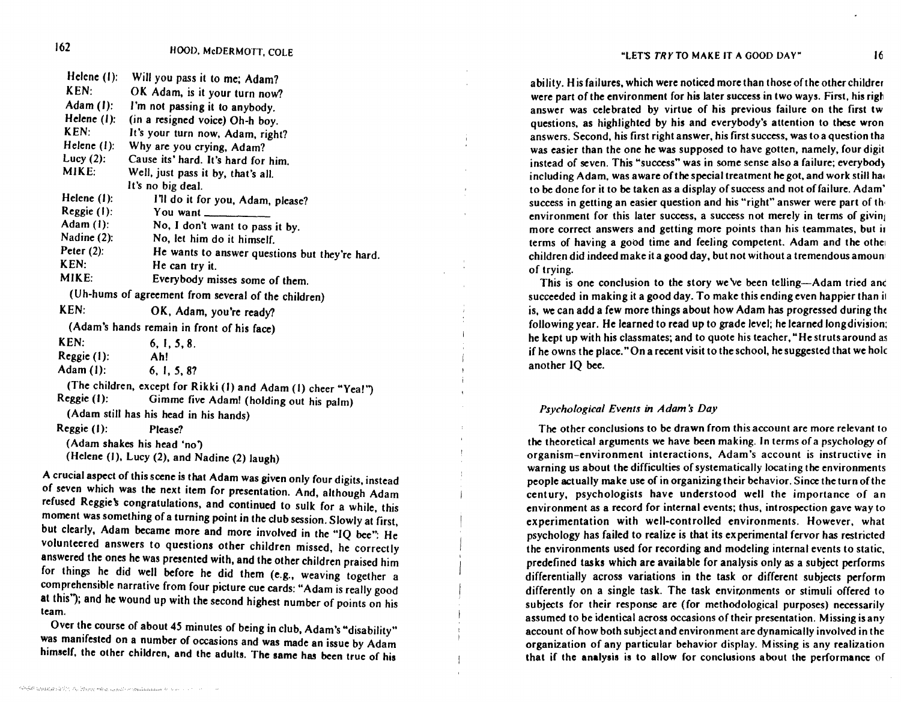| Helene (1):   | Will you pass it to me; Adam?                                  |
|---------------|----------------------------------------------------------------|
| KEN:          | OK Adam, is it your turn now?                                  |
| Adam (1):     | I'm not passing it to anybody.                                 |
| Helene (1):   | (in a resigned voice) Oh-h boy.                                |
| KEN:          | It's your turn now, Adam, right?                               |
| Helene (1):   | Why are you crying, Adam?                                      |
| Lucy $(2)$ :  | Cause its' hard. It's hard for him.                            |
| MIKE:         | Well, just pass it by, that's all.                             |
|               | It's no big deal.                                              |
| Helene (1):   | I'll do it for you, Adam, please?                              |
| Reggie (1):   | You want                                                       |
| Adam (1):     | No, I don't want to pass it by.                                |
| Nadine (2):   | No, let him do it himself.                                     |
| Peter $(2)$ : | He wants to answer questions but they're hard.                 |
| KEN:          | He can try it.                                                 |
| MIKE:         | Everybody misses some of them.                                 |
|               | (Uh-hums of agreement from several of the children)            |
| KEN:          | OK, Adam, you're ready?                                        |
|               | (Adam's hands remain in front of his face)                     |
| KEN:          | 6, 1, 5, 8.                                                    |
| Reggie (1):   | Ah!                                                            |
| Adam(1):      | 6, 1, 5, 8?                                                    |
|               | (The children, except for Rikki (1) and Adam (1) cheer "Yea!") |
| Reggie (1):   | Gimme five Adam! (holding out his palm)                        |
|               | (Adam still has his head in his hands)                         |
| $Reggie(1)$ : | Please?                                                        |
|               | (Adam shakes his head 'no')                                    |
|               | (Helene (1), Lucy (2), and Nadine (2) laugh)                   |

A crucial aspect of this scene is that Adam was given only four digits, instead of seven which was the next item for presentation. And, although Adam refused Reggie's congratulations, and continued to sulk for a while, this moment was something of a turning point in the club session. Slowly at first, but clearly, Adam became more and more involved in the "IQ bee": He volunteered answers to questions other children missed, he correctly answered the ones he was presented with, and the other children praised him for things he did well before he did them **(e.g.,** weaving together a comprehensible narrative from four picture cue cards: "Adam is really good at this'); and he wound up with the second highest number of points on his team.

Over the course of about 45 minutes of being in club, Adam's "disability" was manifested on a number of occasions and was made an issue by Adam himself, the other children, and the adults. The same has been true of his

ability. His failures, which were noticed more than those of the other childrer were part of the environment for his later success in two ways. First, his righ answer was celebrated by virtue of his previous failure on the first tw questions, as highlighted by his and everybody's attention to these wron answers. Second, his first right answer, his first success, was to a question tha was easier than the one he was supposed to have gotten, namely, four digit instead of seven. This "success" was in some sense also a failure; everybody including Adam, was aware of the special treatment he got, and work still had to be done for it to be taken as a display of success and not of failure. Adam' success in getting an easier question and his "right" answer were part of the environment for this later success, a success not merely in terms of giving more correct answers and getting more points than his teammates, but ii terms of having a good time and feeling competent. Adam and the other children did indeed make it a good day, but not without a tremendous amoun of trying.

This is one conclusion to the story we've been telling-Adam tried and succeeded in making it a good day. To make this ending even happier than ii is, we can add a few more things about how Adam has progressed during tht following year. He learned to read up to grade level; he learned long division: he kept up with his classmates; and to quote his teacher, "He struts around as if he owns the place. "On a recent visit to the school, he suggested that we hole another IQ bee.

#### *Psychological Events in Adams Day*

The other conclusions to be drawn from this account are more relevant to the theoretical arguments we have been making. In terms of a psychology of organism-environment interactions, Adam's account is instructive in warning us about the difficulties of systematically locating the environments people actually make use of in organizing their behavior. Since the turn of the century, psychologists have understood well the importance of an environment as a record for internal events; thus, introspection gave way to experimentation with well-controlled environments. However, what psychology has failed to realize is that its experimental fervor has restricted the environments used for recording and modeling internal events to static, predefined tasks which are available for analysis only as a subject performs differentially across variations in the task or different subjects perform differently on a single task. The task environments or stimuli offered to subjects for their response are (for methodological purposes) necessarily assumed to be identical across occasions of their presentation. Missing is any account of how both subject and environment are dynamically involved in the organization of any particular behavior display. Missing is any realization that if the **analysis is** to allow for conclusions about the performance of

162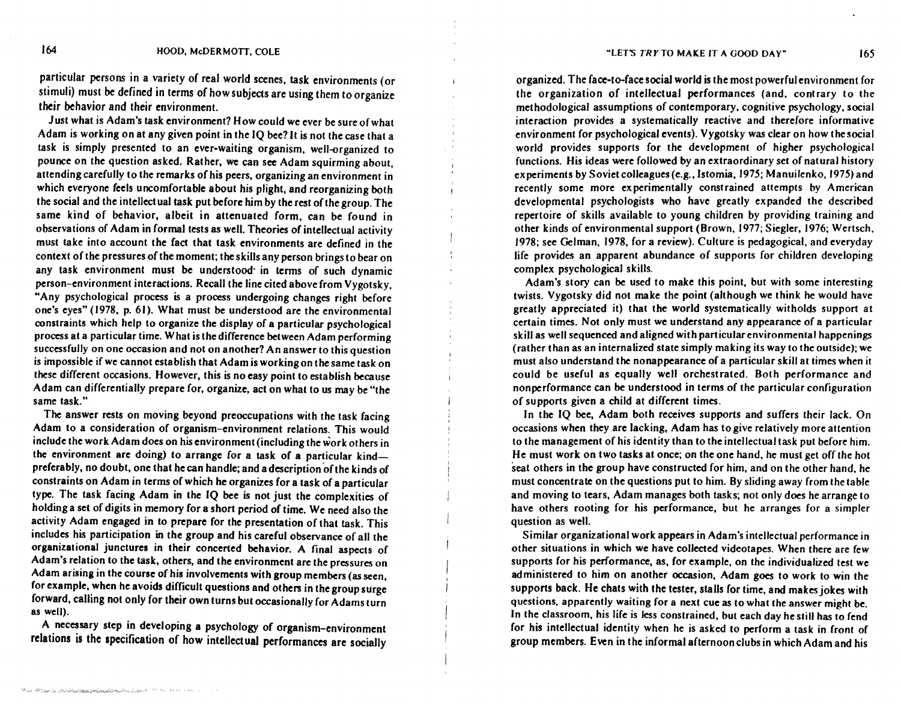particular persons in a variety of real world scenes, task environments ( or stimuli) must be defined in terms of how subjects are using them to organize their behavior and their environment.

Just what is Adam's task environment? How could we ever be sure of what Adam is working on at any given point in the IQ bee? It is not the case that a task is simply presented to an ever-waiting organism, well-organized to pounce on the question asked. Rather, we can see Adam squirming about, attending carefully to the remarks of his peers, organizing an environment in which everyone feels uncomfortable about his plight, and reorganizing both the social and the intellectual task put before him by the rest of the group. The same kind of behavior, albeit in attenuated form, can be found in observations of Adam in formal tests as well. Theories of intellectual activity must take into account the fact that task environments are defined in the context of the pressures of the moment; the skills any person brings to bear on any task environment must be understood in terms of such dynamic person-environment interactions. Recall the line cited above from Vygotsky, "Any psychological process is a process undergoing changes right before one's eyes" (1978, p. 61). What must be understood are the environmental constraints which help to organize the display of a particular psychological process at a particular time. What is the difference between Adam performing successfully on one occasion and not on another? An answer to this question is impossible if we cannot establish that Adam is working on the same task on these different occasions. However, this is no easy point to establish because Adam can differentially prepare for, organize, act on what to us may be "the same task."

The answer rests on moving beyond preoccupations with the task facing Adam to a consideration of organism-environment relations. This would include the work Adam does on his environment (including the work others in the environment arc doing) to **arrange** for **a task** of a particular kindpreferably, no doubt, one that he can handle; and a description of the kinds of constraints on Adam in terms of which he organizes for a task of a particular type. The task facing Adam in the IQ bee is not just the complexities of holding a set of digits in memory for a short period of time. We need also the activity Adam engaged in to prepare for the presentation of that task. This includes his participation in the group and his careful observance of all the organizational junctures in their concerted behavior. A final aspects of Adam's relation to the task, others, and the environment are the pressures on Adam arising in the course of his involvements with group members (as seen, for example, when he avoids difficult questions and others in the group surge forward, calling not only for their own turns but occasionally for Adams turn as well).

A necessary step in developing a psychology of organism-environment relations is the specification of how intellectual performances are socially

organized. The face-to-face social world is the most powerful environment for the organization of intellectual performances (and, contrary to the methodological assumptions of contemporary, cognitive psychology, social interaction provides a systematically reactive and therefore informative environment for psychological events). Vygotsky was clear on how the social world provides supports for the development of higher psychological functions. His ideas were followed by an extraordinary set of natural history experiments by Soviet colleagues **(e.g.,** lstomia, 1975; Manuilenko, 1975) and recently some more experimentally constrained attempts by American developmental psychologists who have greatly expanded the described repertoire of skills available to young children by providing training and other kinds of environmental support (Brown, 1977; Siegler, 1976; Wertsch, 1978; see Gelman, 1978, for **a review).** Culture is pedagogical, and everyday life provides an apparent abundance of supports for children developing complex psychological skills.

Adam's story can be used to make this point, but with some interesting twists. Vygotsky did not make the point (although we think he would have greatly appreciated it) that the world systematically witholds support at certain times. Not only must we understand any appearance of a particular skill as well sequenced and aligned with particular environmental happenings (rather than as an internalized state simply making its way to the outside); we must also understand the nonappearance of a particular skill at times when it could be useful as equally well orchestrated. Both performance and nonperformance can be understood in terms of the particular configuration of supports given a child at different times.

In the IQ bee, Adam both receives supports and suffers their lack. On occasions when they are lacking, Adam has to give relatively more attention to the management of his identity than to the intellectual task put before him. He must work on two tasks at once; on the one hand, he must get off the hot seat others in the group have constructed for him, and on the other hand, he must concentrate on the questions put to him. By sliding away from the table and moving to tears, Adam manages both tasks; not only does he arrange to have others rooting for his performance, but he arranges for a simpler question as well.

Similar organizational work appears in Adam's intellectual performance in other situations in which we have collected videotapes. When there are few supports for his performance, as, for example, on the individualized test we administered to him on another occasion, Adam goes to work to win the supports back. He chats with the tester, stalls for time, and makes jokes with questions, apparently waiting for a next cue as to what the answer might be. In the classroom, his life is less constrained, but each day he still has to fend for his intellectual identity when he is asked to perform a task in front of group members. Even in the informal afternoon clubs in which Adam and his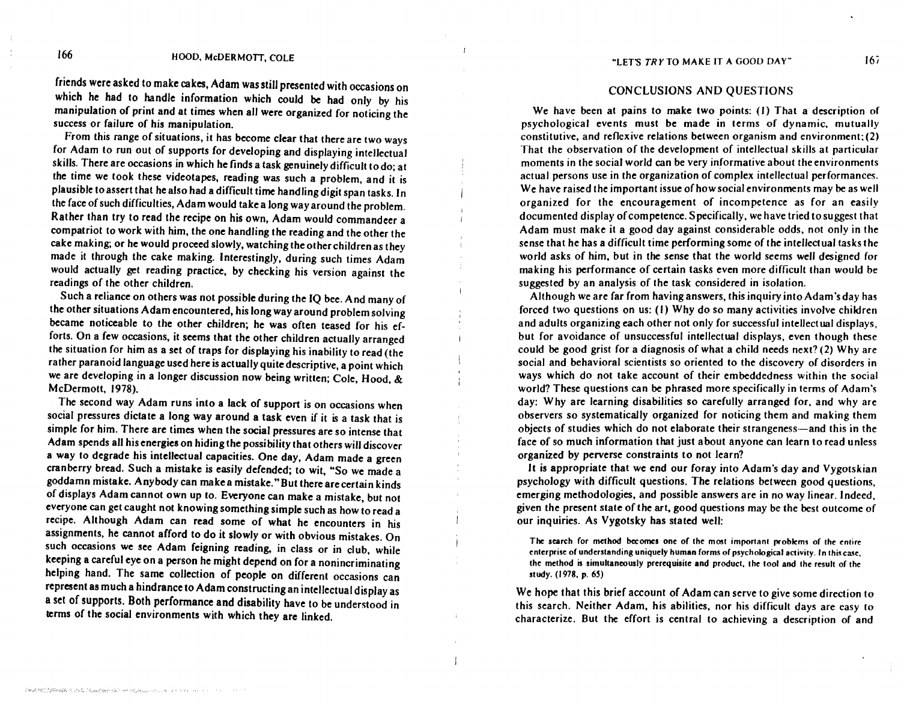friends were asked to make cakes, Adam was still presented with occasions on which he had to handle information which could be had only by his manipulation of print and at times when all were organized for noticing the success or failure of his manipulation.

From this range of situations, it has become clear that there are two ways for Adam to run out of supports for developing and displaying intellectual skills. There are occasions in which he finds a task genuinely difficult to do; at the time we took these videotapes, reading was such a problem, and it is plausible to assert that he also had a difficult time handling digit span tasks. In the face of such difficulties, Adam would take a long way around the problem. Rather than try to read the recipe on his own, Adam would commandeer a compatriot to work with him, the one handling the reading and the other the cake making; or he would proceed slowly, watching the other children as they made it through the cake making. Interestingly, during such times Adam would actually get reading practice, by checking his version against the readings of the other children.

Such a reliance on others was not possible during the IQ bee. And many of the other situations Adam encountered, his long way around problem solving became noticeable to the other children; he was often teased for his efforts. On a few occasions, it seems that the other children actually arranged the situation for him as a set of traps for displaying his inability to read (the rather paranoid language used here is actually quite descriptive, a point which we are developing in a longer discussion now being written; Cole, Hood, & McDermott, 1978).

 $\mathfrak{f}$ 

The second way Adam runs into a lack of support is on occasions when social pressures dictate a long way around a task even if it is a task that is simple for him. There are times when the social pressures are so intense that Adam spends all his energies on hiding the possibility that others will discover a way to degrade his intellectual capacities. One day, Adam made a green cranberry bread. Such a mistake is easily defended; to wit, "So we made a goddamn mistake. Anybody can make a mistake." But there are certain kinds of displays Adam cannot own up to. Everyone can make a mistake, but not everyone can get caught not knowing something simple such as how to read a recipe. Although Adam can read some of what he encounters in his assignments, he *cannot* afford to do it slowly or with obvious mistakes. On such occasions we see Adam feigning reading, in class or in club, while keeping a careful eye on a person he might depend on for a nonincriminating helping hand. The same collection of people on different occasions can represent as much a hindrance to Adam constructing an intellectual display as a set of supports. Both performance and disability have to be understood in terms of the social environments with which they are linked.

#### CONCLUSIONS AND QUESTIONS

We have been at pains to make two points: (I) That a description of psychological events must **be made** in terms of dynamic, mutually constitutive, and reflexive relations between organism and environment; (2) That the observation of the development of intellectual skills at particular moments in the social world can be very informative about the environments actual persons use in the organization of complex intellectual performances. We have raised the important issue of how social environments may be as well organized for the encouragement of incompetence as for an easily documented display of competence. Specifically, we have tried to suggest that Adam must make it a good day against considerable odds, not only in the sense that he has a difficult time performing some of the intellectual tasks the world asks of him, but in the sense that the world seems well designed for making his performance of certain tasks even more difficult than would be suggested by an analysis of the task considered in isolation.

Although we are far from having answers, this inquiry into Adam's day has forced two questions on us: (I) Why do so many activities involve children and adults organizing each other not only for successful intellectual displays, but for avoidance of unsuccessful intellectual displays, even though these could be good grist for a diagnosis of what a child needs next? (2) Why are social and behavioral scientists so oriented to the discovery of disorders in ways which do not take account of their embeddedness within the social world? These questions can be phrased more specifically in terms of Adam's day: Why are learning disabilities so carefully arranged for, and why are observers so systematically organized for noticing them and making them objects of studies which do not elaborate their strangeness-and this in the face of so much information that just about anyone can learn to read unless organized by perverse constraints to not learn?

It is appropriate that we end our foray into Adam's day and Vygotskian psychology with difficult questions. The relations between good questions, emerging methodologies, and possible answers are in no way linear. Indeed, given the present state of the art, good questions may be the best outcome of our inquiries. As Vygotsky has stated well:

The search for method becomes one of the most important problems of the entire enterprise of understanding uniquely human forms of psychological activity. In this case, the method is simultaneously prerequisite and product, the tool and the result of the study. (1978, p. 65)

We hope that this brief account of Adam can serve to give some direction to this search. Neither Adam, his abilities, nor his difficult days are easy to characterize. But the effort is central to achieving a description of and